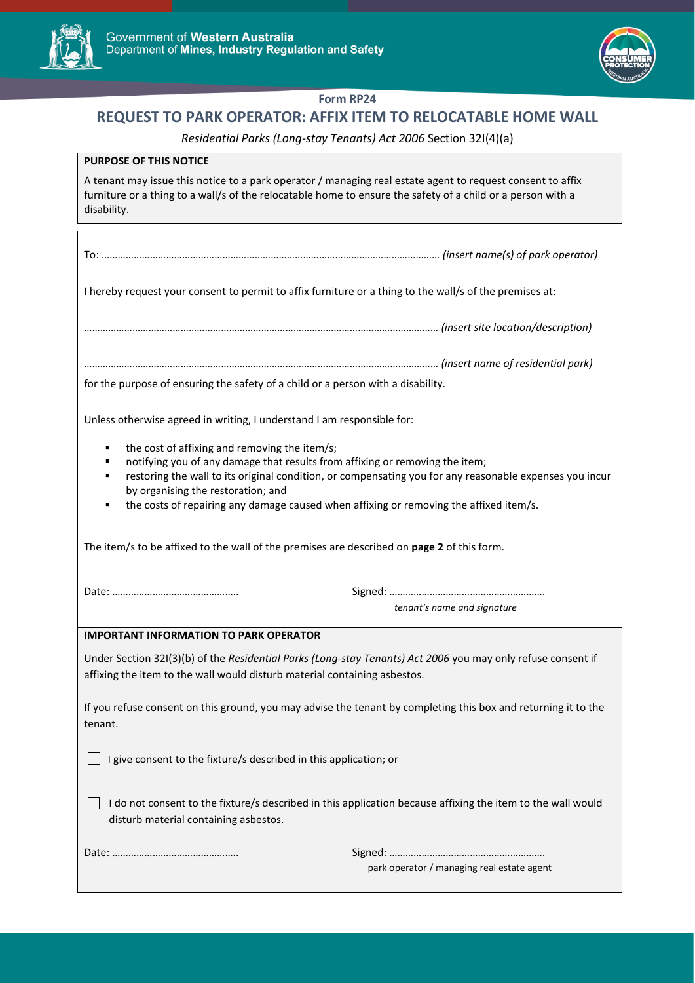

 $\mathcal{L}^{\text{max}}_{\text{max}}$ 



#### **Form RP24**

# **REQUEST TO PARK OPERATOR: AFFIX ITEM TO RELOCATABLE HOME WALL**

#### *Residential Parks (Long-stay Tenants) Act 2006* Section 32I(4)(a)

| <b>PURPOSE OF THIS NOTICE</b>                                                                                                                                                                                                                                                                                                                                                           |
|-----------------------------------------------------------------------------------------------------------------------------------------------------------------------------------------------------------------------------------------------------------------------------------------------------------------------------------------------------------------------------------------|
| A tenant may issue this notice to a park operator / managing real estate agent to request consent to affix<br>furniture or a thing to a wall/s of the relocatable home to ensure the safety of a child or a person with a<br>disability.                                                                                                                                                |
|                                                                                                                                                                                                                                                                                                                                                                                         |
| I hereby request your consent to permit to affix furniture or a thing to the wall/s of the premises at:                                                                                                                                                                                                                                                                                 |
|                                                                                                                                                                                                                                                                                                                                                                                         |
| for the purpose of ensuring the safety of a child or a person with a disability.                                                                                                                                                                                                                                                                                                        |
|                                                                                                                                                                                                                                                                                                                                                                                         |
| Unless otherwise agreed in writing, I understand I am responsible for:                                                                                                                                                                                                                                                                                                                  |
| the cost of affixing and removing the item/s;<br>٠<br>notifying you of any damage that results from affixing or removing the item;<br>restoring the wall to its original condition, or compensating you for any reasonable expenses you incur<br>п<br>by organising the restoration; and<br>the costs of repairing any damage caused when affixing or removing the affixed item/s.<br>п |
| The item/s to be affixed to the wall of the premises are described on page 2 of this form.                                                                                                                                                                                                                                                                                              |
|                                                                                                                                                                                                                                                                                                                                                                                         |
| tenant's name and signature                                                                                                                                                                                                                                                                                                                                                             |
| <b>IMPORTANT INFORMATION TO PARK OPERATOR</b>                                                                                                                                                                                                                                                                                                                                           |
| Under Section 321(3)(b) of the Residential Parks (Long-stay Tenants) Act 2006 you may only refuse consent if<br>affixing the item to the wall would disturb material containing asbestos.                                                                                                                                                                                               |
| If you refuse consent on this ground, you may advise the tenant by completing this box and returning it to the<br>tenant.                                                                                                                                                                                                                                                               |
| I give consent to the fixture/s described in this application; or                                                                                                                                                                                                                                                                                                                       |
| I do not consent to the fixture/s described in this application because affixing the item to the wall would<br>disturb material containing asbestos.                                                                                                                                                                                                                                    |
|                                                                                                                                                                                                                                                                                                                                                                                         |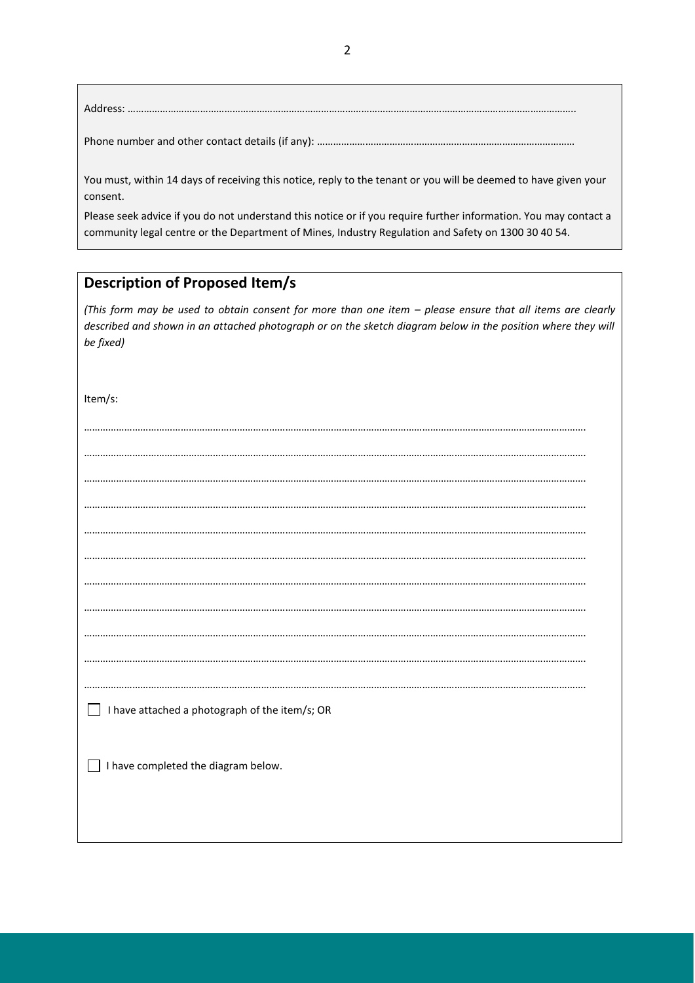### Address: …………………………………………………………………………………………………………………………………………………..

Phone number and other contact details (if any): ……………………………………………………………………………………

You must, within 14 days of receiving this notice, reply to the tenant or you will be deemed to have given your consent.

Please seek advice if you do not understand this notice or if you require further information. You may contact a community legal centre or the Department of Mines, Industry Regulation and Safety on 1300 30 40 54.

## **Description of Proposed Item/s**

*(This form may be used to obtain consent for more than one item – please ensure that all items are clearly described and shown in an attached photograph or on the sketch diagram below in the position where they will be fixed)* 

Item/s:

| I have attached a photograph of the item/s; OR<br>$\overline{\phantom{0}}$ |
|----------------------------------------------------------------------------|
|                                                                            |
| I have completed the diagram below.                                        |
|                                                                            |
|                                                                            |
|                                                                            |